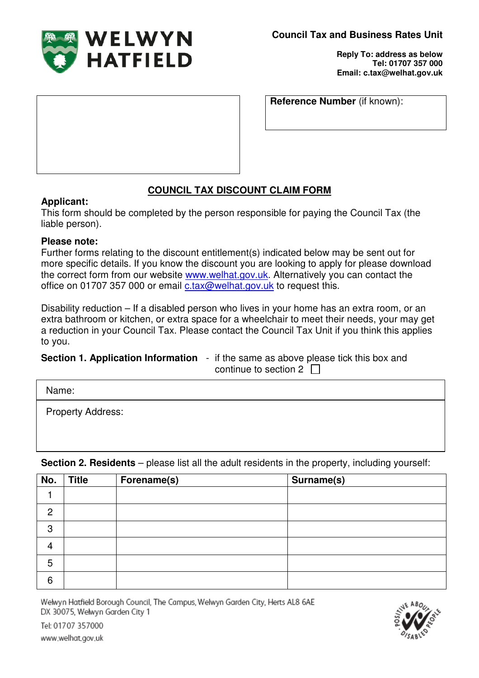

**Reply To: address as below Tel: 01707 357 000 Email: c.tax@welhat.gov.uk**

**Reference Number** (if known):

## **COUNCIL TAX DISCOUNT CLAIM FORM**

## **Applicant:**

This form should be completed by the person responsible for paying the Council Tax (the liable person).

## **Please note:**

Further forms relating to the discount entitlement(s) indicated below may be sent out for more specific details. If you know the discount you are looking to apply for please download the correct form from our website www.welhat.gov.uk. Alternatively you can contact the office on 01707 357 000 or email c.tax@welhat.gov.uk to request this.

Disability reduction – If a disabled person who lives in your home has an extra room, or an extra bathroom or kitchen, or extra space for a wheelchair to meet their needs, your may get a reduction in your Council Tax. Please contact the Council Tax Unit if you think this applies to you.

**Section 1. Application Information** - if the same as above please tick this box and continue to section  $2 \Box$ 

Name:

Property Address:

**No.** Title Forename(s) Surname(s) 1 2 3 4 5 6

**Section 2. Residents** – please list all the adult residents in the property, including yourself:

Welwyn Hatfield Borough Council, The Campus, Welwyn Garden City, Herts AL8 6AE DX 30075, Welwyn Garden City 1



Tel: 01707 357000 www.welhat.gov.uk